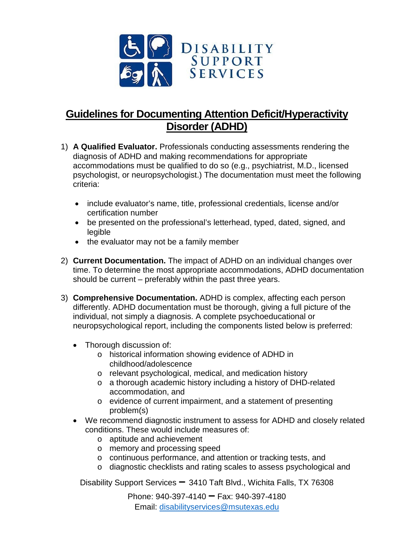

## **Guidelines for Documenting Attention Deficit/Hyperactivity Disorder (ADHD)**

- 1) **A Qualified Evaluator.** Professionals conducting assessments rendering the diagnosis of ADHD and making recommendations for appropriate accommodations must be qualified to do so (e.g., psychiatrist, M.D., licensed psychologist, or neuropsychologist.) The documentation must meet the following criteria:
	- include evaluator's name, title, professional credentials, license and/or certification number
	- be presented on the professional's letterhead, typed, dated, signed, and legible
	- the evaluator may not be a family member
- 2) **Current Documentation.** The impact of ADHD on an individual changes over time. To determine the most appropriate accommodations, ADHD documentation should be current – preferably within the past three years.
- 3) **Comprehensive Documentation.** ADHD is complex, affecting each person differently. ADHD documentation must be thorough, giving a full picture of the individual, not simply a diagnosis. A complete psychoeducational or neuropsychological report, including the components listed below is preferred:
	- Thorough discussion of:
		- o historical information showing evidence of ADHD in childhood/adolescence
		- o relevant psychological, medical, and medication history
		- o a thorough academic history including a history of DHD-related accommodation, and
		- o evidence of current impairment, and a statement of presenting problem(s)
	- We recommend diagnostic instrument to assess for ADHD and closely related conditions. These would include measures of:
		- o aptitude and achievement
		- o memory and processing speed
		- o continuous performance, and attention or tracking tests, and
		- o diagnostic checklists and rating scales to assess psychological and

Disability Support Services **–** 3410 Taft Blvd., Wichita Falls, TX 76308

Phone: 940-397-4140 **–** Fax: 940-397-4180 Email: [disabilityservices@msutexas.edu](mailto:disabilityservices@msutexas.edu)